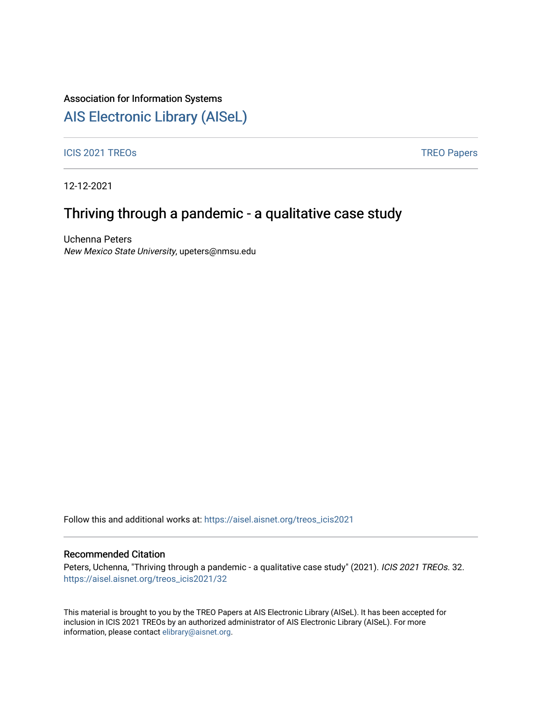#### Association for Information Systems

## [AIS Electronic Library \(AISeL\)](https://aisel.aisnet.org/)

ICIS 2021 TREOS Notes that the contract of the contract of the contract of the contract of the contract of the contract of the contract of the contract of the contract of the contract of the contract of the contract of the

12-12-2021

## Thriving through a pandemic - a qualitative case study

Uchenna Peters New Mexico State University, upeters@nmsu.edu

Follow this and additional works at: [https://aisel.aisnet.org/treos\\_icis2021](https://aisel.aisnet.org/treos_icis2021?utm_source=aisel.aisnet.org%2Ftreos_icis2021%2F32&utm_medium=PDF&utm_campaign=PDFCoverPages) 

#### Recommended Citation

Peters, Uchenna, "Thriving through a pandemic - a qualitative case study" (2021). ICIS 2021 TREOs. 32. [https://aisel.aisnet.org/treos\\_icis2021/32](https://aisel.aisnet.org/treos_icis2021/32?utm_source=aisel.aisnet.org%2Ftreos_icis2021%2F32&utm_medium=PDF&utm_campaign=PDFCoverPages) 

This material is brought to you by the TREO Papers at AIS Electronic Library (AISeL). It has been accepted for inclusion in ICIS 2021 TREOs by an authorized administrator of AIS Electronic Library (AISeL). For more information, please contact [elibrary@aisnet.org.](mailto:elibrary@aisnet.org%3E)